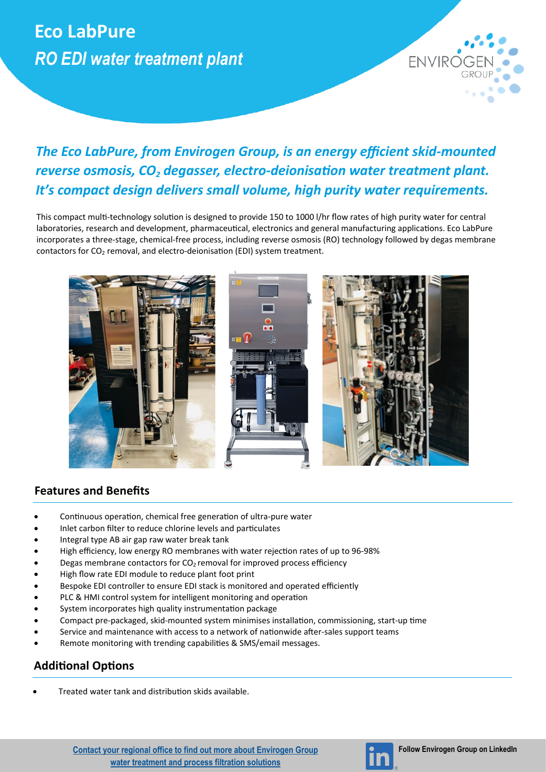# **Eco LabPure** *RO EDI water treatment plant*



## *The Eco LabPure, from Envirogen Group, is an energy efficient skid-mounted reverse osmosis, CO<sup>2</sup> degasser, electro-deionisation water treatment plant. It's compact design delivers small volume, high purity water requirements.*

This compact multi-technology solution is designed to provide 150 to 1000 l/hr flow rates of high purity water for central laboratories, research and development, pharmaceutical, electronics and general manufacturing applications. Eco LabPure incorporates a three-stage, chemical-free process, including reverse osmosis (RO) technology followed by degas membrane contactors for  $CO<sub>2</sub>$  removal, and electro-deionisation (EDI) system treatment.



### **Features and Benefits**

- Continuous operation, chemical free generation of ultra-pure water
- Inlet carbon filter to reduce chlorine levels and particulates
- Integral type AB air gap raw water break tank
- High efficiency, low energy RO membranes with water rejection rates of up to 96-98%
- Degas membrane contactors for  $CO<sub>2</sub>$  removal for improved process efficiency
- High flow rate EDI module to reduce plant foot print
- Bespoke EDI controller to ensure EDI stack is monitored and operated efficiently
- PLC & HMI control system for intelligent monitoring and operation
- System incorporates high quality instrumentation package
- Compact pre-packaged, skid-mounted system minimises installation, commissioning, start-up time
- Service and maintenance with access to a network of nationwide after-sales support teams
- Remote monitoring with trending capabilities & SMS/email messages.

### **Additional Options**

• Treated water tank and distribution skids available.